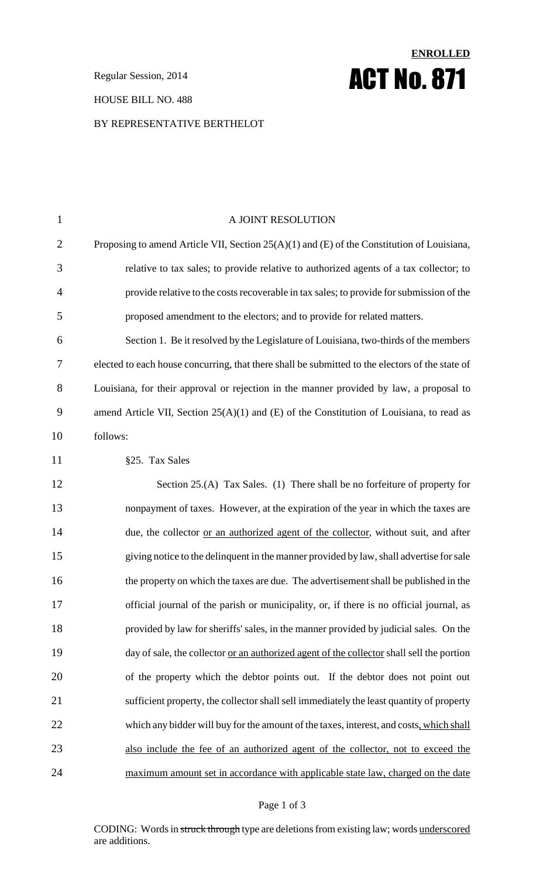**Regular Session, 2014 ACT No. 871** 

#### HOUSE BILL NO. 488

#### BY REPRESENTATIVE BERTHELOT

# 1 A JOINT RESOLUTION 2 Proposing to amend Article VII, Section 25(A)(1) and (E) of the Constitution of Louisiana, 3 relative to tax sales; to provide relative to authorized agents of a tax collector; to 4 provide relative to the costsrecoverable in tax sales; to provide forsubmission of the 5 proposed amendment to the electors; and to provide for related matters. 6 Section 1. Be it resolved by the Legislature of Louisiana, two-thirds of the members 7 elected to each house concurring, that there shall be submitted to the electors of the state of 8 Louisiana, for their approval or rejection in the manner provided by law, a proposal to 9 amend Article VII, Section 25(A)(1) and (E) of the Constitution of Louisiana, to read as 10 follows: 11 §25. Tax Sales 12 Section 25.(A) Tax Sales. (1) There shall be no forfeiture of property for 13 nonpayment of taxes. However, at the expiration of the year in which the taxes are 14 due, the collector <u>or an authorized agent of the collector</u>, without suit, and after 15 giving notice to the delinquent in the manner provided by law,shall advertise forsale 16 the property on which the taxes are due. The advertisement shall be published in the 17 official journal of the parish or municipality, or, if there is no official journal, as 18 provided by law for sheriffs' sales, in the manner provided by judicial sales. On the 19 day of sale, the collector <u>or an authorized agent of the collector</u> shall sell the portion 20 of the property which the debtor points out. If the debtor does not point out 21 sufficient property, the collector shall sell immediately the least quantity of property 22 which any bidder will buy for the amount of the taxes, interest, and costs, which shall 23 also include the fee of an authorized agent of the collector, not to exceed the 24 maximum amount set in accordance with applicable state law, charged on the date

**ENROLLED**

#### Page 1 of 3

CODING: Words in struck through type are deletions from existing law; words underscored are additions.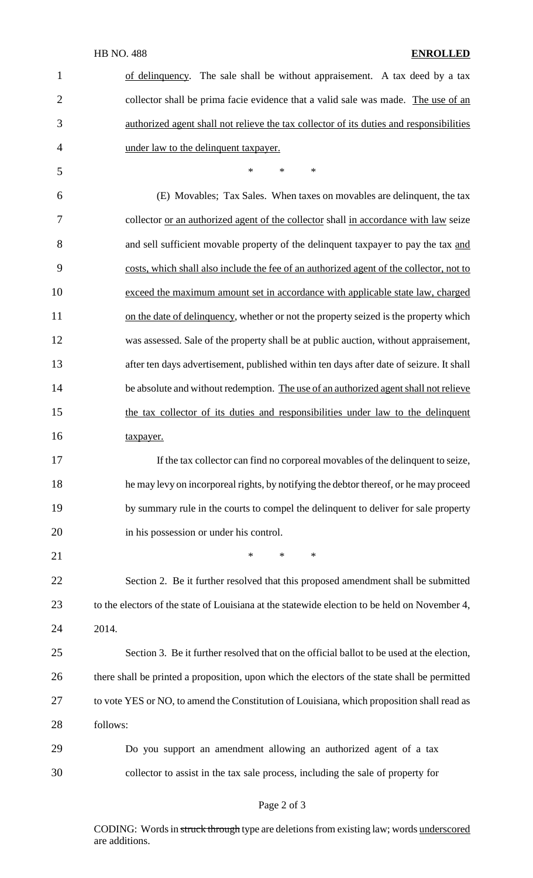## HB NO. 488 **ENROLLED**

| 1              | of delinquency. The sale shall be without appraisement. A tax deed by a tax                   |
|----------------|-----------------------------------------------------------------------------------------------|
| $\overline{2}$ | collector shall be prima facie evidence that a valid sale was made. The use of an             |
| 3              | authorized agent shall not relieve the tax collector of its duties and responsibilities       |
| $\overline{4}$ | under law to the delinquent taxpayer.                                                         |
| 5              | $\ast$<br>$\ast$<br>$\ast$                                                                    |
| 6              | (E) Movables; Tax Sales. When taxes on movables are delinquent, the tax                       |
| 7              | collector or an authorized agent of the collector shall in accordance with law seize          |
| 8              | and sell sufficient movable property of the delinquent taxpayer to pay the tax and            |
| 9              | costs, which shall also include the fee of an authorized agent of the collector, not to       |
| 10             | exceed the maximum amount set in accordance with applicable state law, charged                |
| 11             | on the date of delinquency, whether or not the property seized is the property which          |
| 12             | was assessed. Sale of the property shall be at public auction, without appraisement,          |
| 13             | after ten days advertisement, published within ten days after date of seizure. It shall       |
| 14             | be absolute and without redemption. The use of an authorized agent shall not relieve          |
| 15             | the tax collector of its duties and responsibilities under law to the delinquent              |
| 16             | taxpayer.                                                                                     |
| 17             | If the tax collector can find no corporeal movables of the delinquent to seize,               |
| 18             | he may levy on incorporeal rights, by notifying the debtor thereof, or he may proceed         |
| 19             | by summary rule in the courts to compel the delinquent to deliver for sale property           |
| 20             | in his possession or under his control.                                                       |
| 21             | $\ast$<br>$\ast$<br>$\ast$                                                                    |
| 22             | Section 2. Be it further resolved that this proposed amendment shall be submitted             |
| 23             | to the electors of the state of Louisiana at the statewide election to be held on November 4, |
| 24             | 2014.                                                                                         |
| 25             | Section 3. Be it further resolved that on the official ballot to be used at the election,     |
| 26             | there shall be printed a proposition, upon which the electors of the state shall be permitted |
| 27             | to vote YES or NO, to amend the Constitution of Louisiana, which proposition shall read as    |
| 28             | follows:                                                                                      |
| 29             | Do you support an amendment allowing an authorized agent of a tax                             |
| 30             | collector to assist in the tax sale process, including the sale of property for               |
|                |                                                                                               |

# Page 2 of 3

CODING: Words in struck through type are deletions from existing law; words underscored are additions.